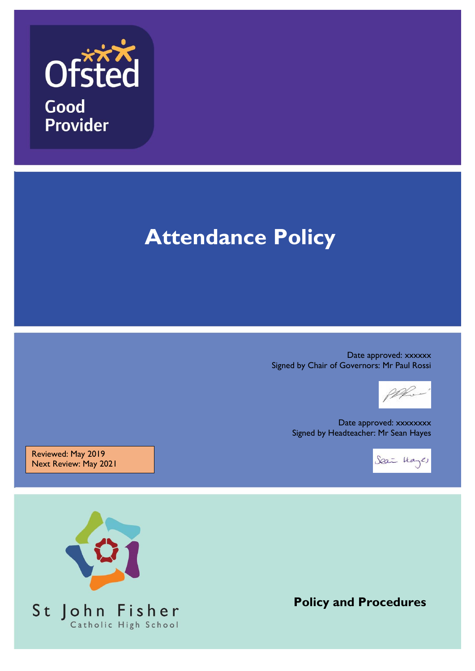

# **Attendance Policy**

Date approved: xxxxxx Signed by Chair of Governors: Mr Paul Rossi

M

Date approved: xxxxxxxx Signed by Headteacher: Mr Sean Hayes

Sea Hayes

Reviewed: May 2019 Next Review: May 2021



**Policy and Procedures**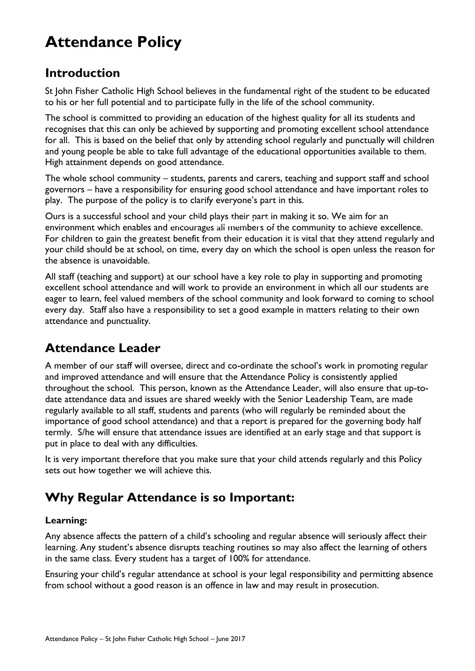## **Attendance Policy**

### **Introduction**

St John Fisher Catholic High School believes in the fundamental right of the student to be educated to his or her full potential and to participate fully in the life of the school community.

The school is committed to providing an education of the highest quality for all its students and recognises that this can only be achieved by supporting and promoting excellent school attendance for all. This is based on the belief that only by attending school regularly and punctually will children and young people be able to take full advantage of the educational opportunities available to them. High attainment depends on good attendance.

The whole school community – students, parents and carers, teaching and support staff and school governors – have a responsibility for ensuring good school attendance and have important roles to play. The purpose of the policy is to clarify everyone's part in this.

Ours is a successful school and your child plays their part in making it so. We aim for an environment which enables and encourages all members of the community to achieve excellence. Data Protection Policy For children to gain the greatest benefit from their education it is vital that they attend regularly and your child should be at school, on time, every day on which the school is open unless the reason for the absence is unavoidable.

All staff (teaching and support) at our school have a key role to play in supporting and promoting excellent school attendance and will work to provide an environment in which all our students are eager to learn, feel valued members of the school community and look forward to coming to school every day. Staff also have a responsibility to set a good example in matters relating to their own attendance and punctuality.

### **Attendance Leader**

A member of our staff will oversee, direct and co-ordinate the school's work in promoting regular and improved attendance and will ensure that the Attendance Policy is consistently applied throughout the school. This person, known as the Attendance Leader, will also ensure that up-todate attendance data and issues are shared weekly with the Senior Leadership Team, are made regularly available to all staff, students and parents (who will regularly be reminded about the importance of good school attendance) and that a report is prepared for the governing body half termly. S/he will ensure that attendance issues are identified at an early stage and that support is put in place to deal with any difficulties.

It is very important therefore that you make sure that your child attends regularly and this Policy sets out how together we will achieve this.

### **Why Regular Attendance is so Important:**

#### **Learning:**

Any absence affects the pattern of a child's schooling and regular absence will seriously affect their learning. Any student's absence disrupts teaching routines so may also affect the learning of others in the same class. Every student has a target of 100% for attendance.

Ensuring your child's regular attendance at school is your legal responsibility and permitting absence from school without a good reason is an offence in law and may result in prosecution.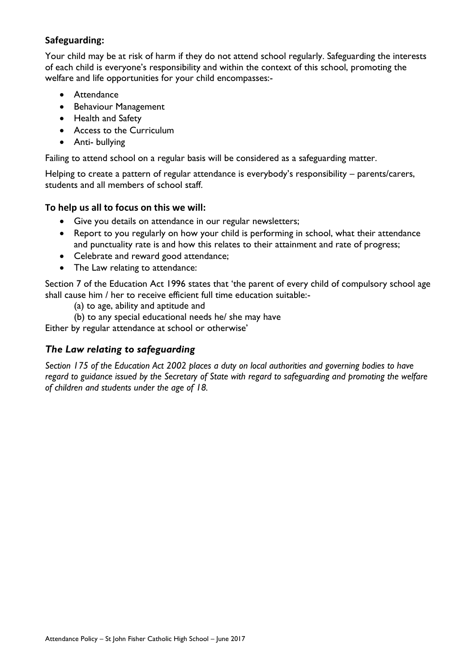#### **Safeguarding:**

Your child may be at risk of harm if they do not attend school regularly. Safeguarding the interests of each child is everyone's responsibility and within the context of this school, promoting the welfare and life opportunities for your child encompasses:-

- **•** Attendance
- Behaviour Management
- Health and Safety
- Access to the Curriculum
- Anti- bullying

Failing to attend school on a regular basis will be considered as a safeguarding matter.

Helping to create a pattern of regular attendance is everybody's responsibility – parents/carers, students and all members of school staff.

#### **To help us all to focus on this we will:**

- Give you details on attendance in our regular newsletters;
- Report to you regularly on how your child is performing in school, what their attendance and punctuality rate is and how this relates to their attainment and rate of progress;
- Celebrate and reward good attendance;
- The Law relating to attendance:

Section 7 of the Education Act 1996 states that 'the parent of every child of compulsory school age shall cause him / her to receive efficient full time education suitable:-

(a) to age, ability and aptitude and

(b) to any special educational needs he/ she may have

Either by regular attendance at school or otherwise'

#### *The Law relating to safeguarding*

*Section 175 of the Education Act 2002 places a duty on local authorities and governing bodies to have regard to guidance issued by the Secretary of State with regard to safeguarding and promoting the welfare of children and students under the age of 18.*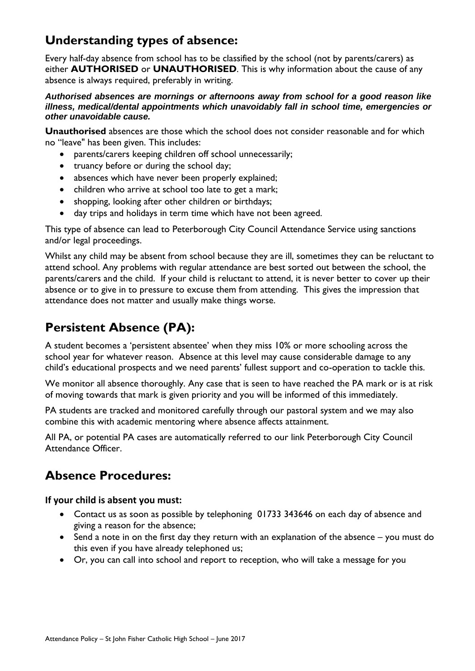### **Understanding types of absence:**

Every half-day absence from school has to be classified by the school (not by parents/carers) as either **AUTHORISED** or **UNAUTHORISED**. This is why information about the cause of any absence is always required, preferably in writing.

#### *Authorised absences are mornings or afternoons away from school for a good reason like illness, medical/dental appointments which unavoidably fall in school time, emergencies or other unavoidable cause.*

**Unauthorised** absences are those which the school does not consider reasonable and for which no "leave" has been given. This includes:

- parents/carers keeping children off school unnecessarily;
- truancy before or during the school day;
- absences which have never been properly explained;
- children who arrive at school too late to get a mark;
- shopping, looking after other children or birthdays;
- day trips and holidays in term time which have not been agreed.

This type of absence can lead to Peterborough City Council Attendance Service using sanctions and/or legal proceedings.

Whilst any child may be absent from school because they are ill, sometimes they can be reluctant to attend school. Any problems with regular attendance are best sorted out between the school, the parents/carers and the child. If your child is reluctant to attend, it is never better to cover up their absence or to give in to pressure to excuse them from attending. This gives the impression that attendance does not matter and usually make things worse.

### **Persistent Absence (PA):**

A student becomes a 'persistent absentee' when they miss 10% or more schooling across the school year for whatever reason. Absence at this level may cause considerable damage to any child's educational prospects and we need parents' fullest support and co-operation to tackle this.

We monitor all absence thoroughly. Any case that is seen to have reached the PA mark or is at risk of moving towards that mark is given priority and you will be informed of this immediately.

PA students are tracked and monitored carefully through our pastoral system and we may also combine this with academic mentoring where absence affects attainment.

All PA, or potential PA cases are automatically referred to our link Peterborough City Council Attendance Officer.

### **Absence Procedures:**

**If your child is absent you must:**

- Contact us as soon as possible by telephoning 01733 343646 on each day of absence and giving a reason for the absence;
- Send a note in on the first day they return with an explanation of the absence you must do this even if you have already telephoned us;
- Or, you can call into school and report to reception, who will take a message for you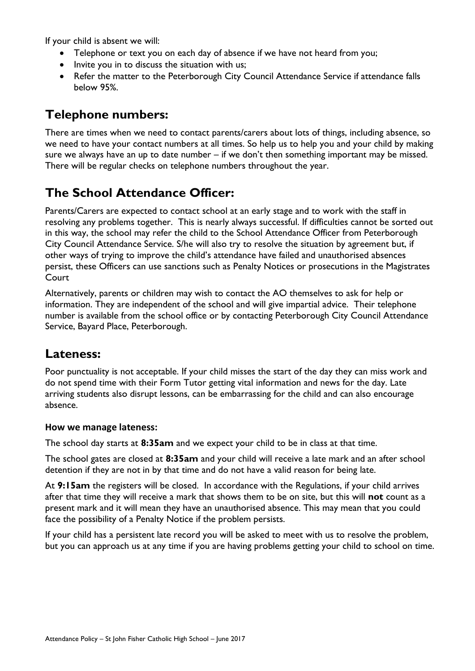If your child is absent we will:

- Telephone or text you on each day of absence if we have not heard from you;
- Invite you in to discuss the situation with us;
- Refer the matter to the Peterborough City Council Attendance Service if attendance falls below 95%.

### **Telephone numbers:**

There are times when we need to contact parents/carers about lots of things, including absence, so we need to have your contact numbers at all times. So help us to help you and your child by making sure we always have an up to date number – if we don't then something important may be missed. There will be regular checks on telephone numbers throughout the year.

### **The School Attendance Officer:**

Parents/Carers are expected to contact school at an early stage and to work with the staff in resolving any problems together. This is nearly always successful. If difficulties cannot be sorted out in this way, the school may refer the child to the School Attendance Officer from Peterborough City Council Attendance Service. S/he will also try to resolve the situation by agreement but, if other ways of trying to improve the child's attendance have failed and unauthorised absences persist, these Officers can use sanctions such as Penalty Notices or prosecutions in the Magistrates **Court** 

Alternatively, parents or children may wish to contact the AO themselves to ask for help or information. They are independent of the school and will give impartial advice. Their telephone number is available from the school office or by contacting Peterborough City Council Attendance Service, Bayard Place, Peterborough.

### **Lateness:**

Poor punctuality is not acceptable. If your child misses the start of the day they can miss work and do not spend time with their Form Tutor getting vital information and news for the day. Late arriving students also disrupt lessons, can be embarrassing for the child and can also encourage absence.

#### **How we manage lateness:**

The school day starts at **8:35am** and we expect your child to be in class at that time.

The school gates are closed at **8:35am** and your child will receive a late mark and an after school detention if they are not in by that time and do not have a valid reason for being late.

At **9:15am** the registers will be closed. In accordance with the Regulations, if your child arrives after that time they will receive a mark that shows them to be on site, but this will **not** count as a present mark and it will mean they have an unauthorised absence. This may mean that you could face the possibility of a Penalty Notice if the problem persists.

If your child has a persistent late record you will be asked to meet with us to resolve the problem, but you can approach us at any time if you are having problems getting your child to school on time.